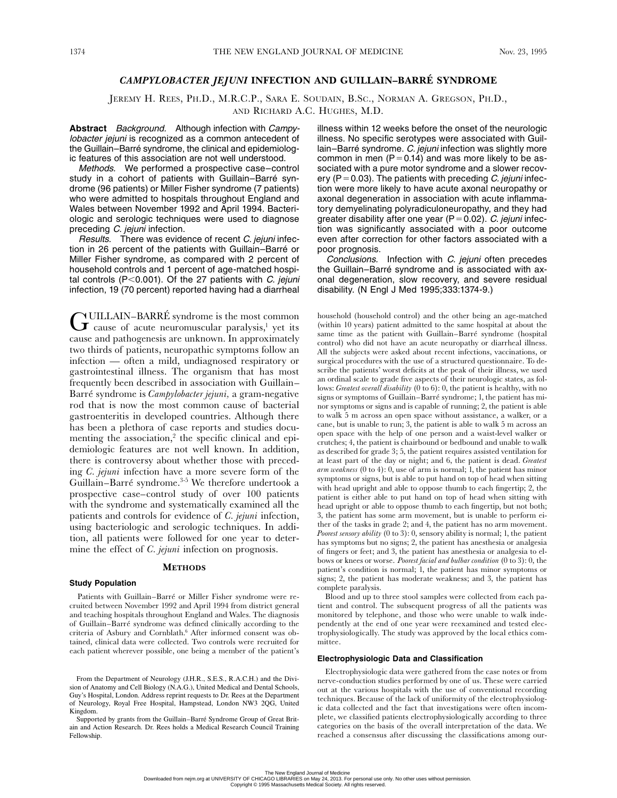# *CAMPYLOBACTER JEJUNI* **INFECTION AND GUILLAIN–BARRÉ SYNDROME**

JEREMY H. REES, PH.D., M.R.C.P., SARA E. SOUDAIN, B.SC., NORMAN A. GREGSON, PH.D., AND RICHARD A.C. HUGHES, M.D.

**Abstract** Background. Although infection with Campylobacter jejuni is recognized as a common antecedent of the Guillain–Barré syndrome, the clinical and epidemiologic features of this association are not well understood.

Methods. We performed a prospective case–control study in a cohort of patients with Guillain–Barré syndrome (96 patients) or Miller Fisher syndrome (7 patients) who were admitted to hospitals throughout England and Wales between November 1992 and April 1994. Bacteriologic and serologic techniques were used to diagnose preceding *C. jejuni* infection.

Results. There was evidence of recent C. jejuni infection in 26 percent of the patients with Guillain–Barré or Miller Fisher syndrome, as compared with 2 percent of household controls and 1 percent of age-matched hospital controls (P<0.001). Of the 27 patients with *C. jejuni* infection, 19 (70 percent) reported having had a diarrheal

 $G$ UILLAIN–BARRÉ syndrome is the most common cause of acute neuromuscular paralysis,<sup>1</sup> yet its cause and pathogenesis are unknown. In approximately two thirds of patients, neuropathic symptoms follow an infection — often a mild, undiagnosed respiratory or gastrointestinal illness. The organism that has most frequently been described in association with Guillain– Barré syndrome is *Campylobacter jejuni,* a gram-negative rod that is now the most common cause of bacterial gastroenteritis in developed countries. Although there has been a plethora of case reports and studies documenting the association,<sup>2</sup> the specific clinical and epidemiologic features are not well known. In addition, there is controversy about whether those with preceding *C. jejuni* infection have a more severe form of the Guillain–Barré syndrome.3-5 We therefore undertook a prospective case–control study of over 100 patients with the syndrome and systematically examined all the patients and controls for evidence of *C. jejuni* infection, using bacteriologic and serologic techniques. In addition, all patients were followed for one year to determine the effect of *C. jejuni* infection on prognosis.

## **METHODS**

### **Study Population**

Patients with Guillain–Barré or Miller Fisher syndrome were recruited between November 1992 and April 1994 from district general and teaching hospitals throughout England and Wales. The diagnosis of Guillain–Barré syndrome was defined clinically according to the criteria of Asbury and Cornblath.<sup>6</sup> After informed consent was obtained, clinical data were collected. Two controls were recruited for each patient wherever possible, one being a member of the patient's

illness within 12 weeks before the onset of the neurologic illness. No specific serotypes were associated with Guillain–Barré syndrome. C. jejuni infection was slightly more common in men ( $P=0.14$ ) and was more likely to be associated with a pure motor syndrome and a slower recovery ( $P = 0.03$ ). The patients with preceding C. jejuni infection were more likely to have acute axonal neuropathy or axonal degeneration in association with acute inflammatory demyelinating polyradiculoneuropathy, and they had greater disability after one year ( $P=0.02$ ). C. jejuni infection was significantly associated with a poor outcome even after correction for other factors associated with a poor prognosis.

Conclusions. Infection with C. jejuni often precedes the Guillain–Barré syndrome and is associated with axonal degeneration, slow recovery, and severe residual disability. (N Engl J Med 1995;333:1374-9.)

household (household control) and the other being an age-matched (within 10 years) patient admitted to the same hospital at about the same time as the patient with Guillain–Barré syndrome (hospital control) who did not have an acute neuropathy or diarrheal illness. All the subjects were asked about recent infections, vaccinations, or surgical procedures with the use of a structured questionnaire. To describe the patients' worst deficits at the peak of their illness, we used an ordinal scale to grade five aspects of their neurologic states, as follows: *Greatest overall disability* (0 to 6): 0, the patient is healthy, with no signs or symptoms of Guillain–Barré syndrome; 1, the patient has minor symptoms or signs and is capable of running; 2, the patient is able to walk 5 m across an open space without assistance, a walker, or a cane, but is unable to run; 3, the patient is able to walk 5 m across an open space with the help of one person and a waist-level walker or crutches; 4, the patient is chairbound or bedbound and unable to walk as described for grade 3; 5, the patient requires assisted ventilation for at least part of the day or night; and 6, the patient is dead. *Greatest arm weakness* (0 to 4): 0, use of arm is normal; 1, the patient has minor symptoms or signs, but is able to put hand on top of head when sitting with head upright and able to oppose thumb to each fingertip; 2, the patient is either able to put hand on top of head when sitting with head upright or able to oppose thumb to each fingertip, but not both; 3, the patient has some arm movement, but is unable to perform either of the tasks in grade 2; and 4, the patient has no arm movement. *Poorest sensory ability* (0 to 3): 0, sensory ability is normal; 1, the patient has symptoms but no signs; 2, the patient has anesthesia or analgesia of fingers or feet; and 3, the patient has anesthesia or analgesia to elbows or knees or worse. *Poorest facial and bulbar condition* (0 to 3): 0, the patient's condition is normal; 1, the patient has minor symptoms or signs; 2, the patient has moderate weakness; and 3, the patient has complete paralysis.

Blood and up to three stool samples were collected from each patient and control. The subsequent progress of all the patients was monitored by telephone, and those who were unable to walk independently at the end of one year were reexamined and tested electrophysiologically. The study was approved by the local ethics committee.

#### **Electrophysiologic Data and Classification**

Electrophysiologic data were gathered from the case notes or from nerve-conduction studies performed by one of us. These were carried out at the various hospitals with the use of conventional recording techniques. Because of the lack of uniformity of the electrophysiologic data collected and the fact that investigations were often incomplete, we classified patients electrophysiologically according to three categories on the basis of the overall interpretation of the data. We reached a consensus after discussing the classifications among our-

From the Department of Neurology (J.H.R., S.E.S., R.A.C.H.) and the Division of Anatomy and Cell Biology (N.A.G.), United Medical and Dental Schools, Guy's Hospital, London. Address reprint requests to Dr. Rees at the Department of Neurology, Royal Free Hospital, Hampstead, London NW3 2QG, United Kingdom.

Supported by grants from the Guillain–Barré Syndrome Group of Great Britain and Action Research. Dr. Rees holds a Medical Research Council Training Fellowship.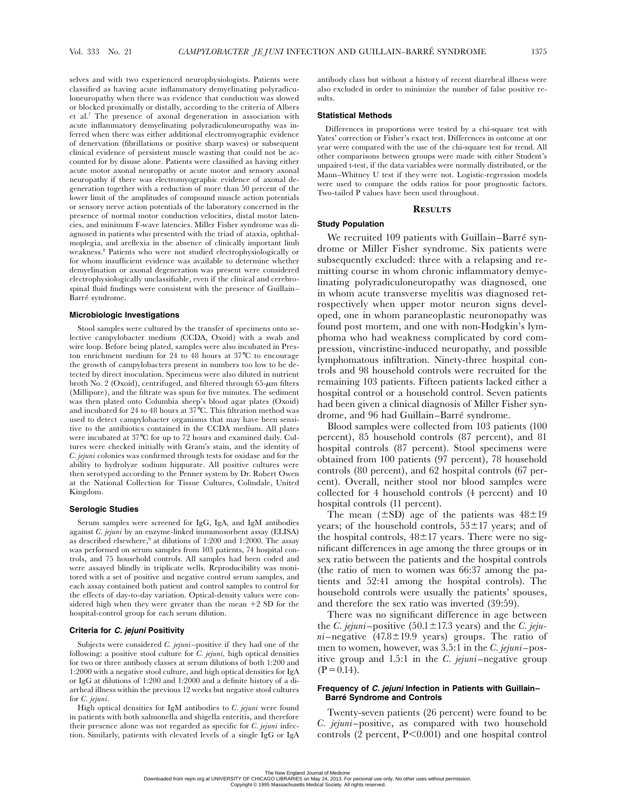selves and with two experienced neurophysiologists. Patients were classified as having acute inflammatory demyelinating polyradiculoneuropathy when there was evidence that conduction was slowed or blocked proximally or distally, according to the criteria of Albers et al.7 The presence of axonal degeneration in association with acute inflammatory demyelinating polyradiculoneuropathy was inferred when there was either additional electromyographic evidence of denervation (fibrillations or positive sharp waves) or subsequent clinical evidence of persistent muscle wasting that could not be accounted for by disuse alone. Patients were classified as having either acute motor axonal neuropathy or acute motor and sensory axonal neuropathy if there was electromyographic evidence of axonal degeneration together with a reduction of more than 50 percent of the lower limit of the amplitudes of compound muscle action potentials or sensory nerve action potentials of the laboratory concerned in the presence of normal motor conduction velocities, distal motor latencies, and minimum F-wave latencies. Miller Fisher syndrome was diagnosed in patients who presented with the triad of ataxia, ophthalmoplegia, and areflexia in the absence of clinically important limb weakness.8 Patients who were not studied electrophysiologically or for whom insufficient evidence was available to determine whether demyelination or axonal degeneration was present were considered electrophysiologically unclassifiable, even if the clinical and cerebrospinal fluid findings were consistent with the presence of Guillain– Barré syndrome.

### **Microbiologic Investigations**

Stool samples were cultured by the transfer of specimens onto selective campylobacter medium (CCDA, Oxoid) with a swab and wire loop. Before being plated, samples were also incubated in Preston enrichment medium for 24 to 48 hours at 37°C to encourage the growth of campylobacters present in numbers too low to be detected by direct inoculation. Specimens were also diluted in nutrient broth No. 2 (Oxoid), centrifuged, and filtered through 65-*m*m filters (Millipore), and the filtrate was spun for five minutes. The sediment was then plated onto Columbia sheep's blood agar plates (Oxoid) and incubated for 24 to 48 hours at 37°C. This filtration method was used to detect campylobacter organisms that may have been sensitive to the antibiotics contained in the CCDA medium. All plates were incubated at 37°C for up to 72 hours and examined daily. Cultures were checked initially with Gram's stain, and the identity of *C. jejuni* colonies was confirmed through tests for oxidase and for the ability to hydrolyze sodium hippurate. All positive cultures were then serotyped according to the Penner system by Dr. Robert Owen at the National Collection for Tissue Cultures, Colindale, United Kingdom.

#### **Serologic Studies**

Serum samples were screened for IgG, IgA, and IgM antibodies against *C. jejuni* by an enzyme-linked immunosorbent assay (ELISA) as described elsewhere,<sup>9</sup> at dilutions of 1:200 and 1:2000. The assay was performed on serum samples from 103 patients, 74 hospital controls, and 75 household controls. All samples had been coded and were assayed blindly in triplicate wells. Reproducibility was monitored with a set of positive and negative control serum samples, and each assay contained both patient and control samples to control for the effects of day-to-day variation. Optical-density values were considered high when they were greater than the mean  $+2$  SD for the hospital-control group for each serum dilution.

### **Criteria for** *C. jejuni* **Positivity**

Subjects were considered *C. jejuni*–positive if they had one of the following: a positive stool culture for *C. jejuni,* high optical densities for two or three antibody classes at serum dilutions of both 1:200 and 1:2000 with a negative stool culture, and high optical densities for IgA or IgG at dilutions of 1:200 and 1:2000 and a definite history of a diarrheal illness within the previous 12 weeks but negative stool cultures for *C. jejuni.*

High optical densities for IgM antibodies to *C. jejuni* were found in patients with both salmonella and shigella enteritis, and therefore their presence alone was not regarded as specific for *C. jejuni* infection. Similarly, patients with elevated levels of a single IgG or IgA

antibody class but without a history of recent diarrheal illness were also excluded in order to minimize the number of false positive results.

### **Statistical Methods**

Differences in proportions were tested by a chi-square test with Yates' correction or Fisher's exact test. Differences in outcome at one year were compared with the use of the chi-square test for trend. All other comparisons between groups were made with either Student's unpaired t-test, if the data variables were normally distributed, or the Mann–Whitney U test if they were not. Logistic-regression models were used to compare the odds ratios for poor prognostic factors. Two-tailed P values have been used throughout.

### **RESULTS**

# **Study Population**

We recruited 109 patients with Guillain–Barré syndrome or Miller Fisher syndrome. Six patients were subsequently excluded: three with a relapsing and remitting course in whom chronic inflammatory demyelinating polyradiculoneuropathy was diagnosed, one in whom acute transverse myelitis was diagnosed retrospectively when upper motor neuron signs developed, one in whom paraneoplastic neuronopathy was found post mortem, and one with non-Hodgkin's lymphoma who had weakness complicated by cord compression, vincristine-induced neuropathy, and possible lymphomatous infiltration. Ninety-three hospital controls and 98 household controls were recruited for the remaining 103 patients. Fifteen patients lacked either a hospital control or a household control. Seven patients had been given a clinical diagnosis of Miller Fisher syndrome, and 96 had Guillain–Barré syndrome.

Blood samples were collected from 103 patients (100 percent), 85 household controls (87 percent), and 81 hospital controls (87 percent). Stool specimens were obtained from 100 patients (97 percent), 78 household controls (80 percent), and 62 hospital controls (67 percent). Overall, neither stool nor blood samples were collected for 4 household controls (4 percent) and 10 hospital controls (11 percent).

The mean  $(\pm SD)$  age of the patients was  $48\pm19$ years; of the household controls,  $53\pm17$  years; and of the hospital controls,  $48\pm17$  years. There were no significant differences in age among the three groups or in sex ratio between the patients and the hospital controls (the ratio of men to women was 66:37 among the patients and 52:41 among the hospital controls). The household controls were usually the patients' spouses, and therefore the sex ratio was inverted (39:59).

There was no significant difference in age between the *C. jejuni*–positive  $(50.1 \pm 17.3 \text{ years})$  and the *C. jeju* $ni$ –negative  $(47.8 \pm 19.9 \text{ years})$  groups. The ratio of men to women, however, was 3.5:1 in the *C. jejuni*–positive group and 1.5:1 in the *C. jejuni*–negative group  $(P=0.14)$ .

### **Frequency of** *C. jejuni* **Infection in Patients with Guillain– Barré Syndrome and Controls**

Twenty-seven patients (26 percent) were found to be *C. jejuni*–positive, as compared with two household controls (2 percent, P<0.001) and one hospital control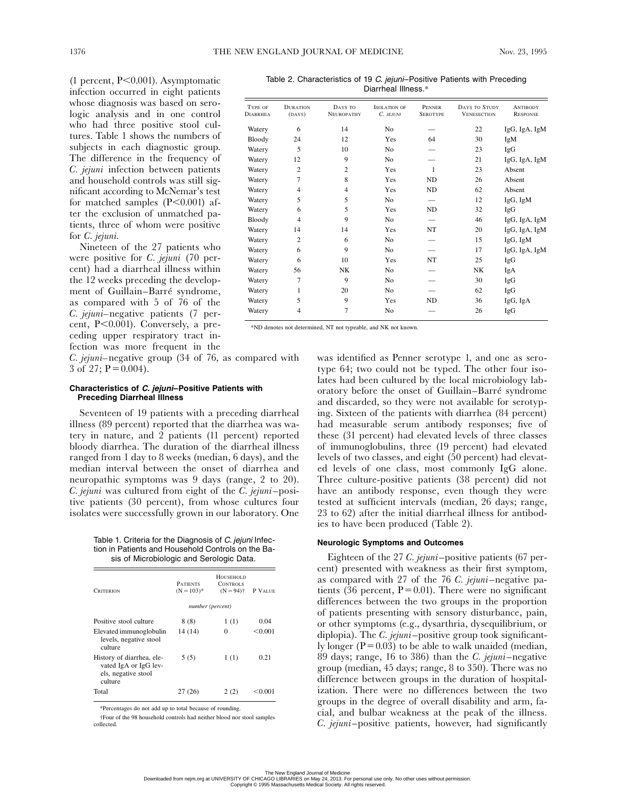(1 percent, P<0.001). Asymptomatic infection occurred in eight patients whose diagnosis was based on serologic analysis and in one control who had three positive stool cultures. Table 1 shows the numbers of subjects in each diagnostic group. The difference in the frequency of *C. jejuni* infection between patients and household controls was still significant according to McNemar's test for matched samples  $(P<0.001)$  after the exclusion of unmatched patients, three of whom were positive for *C. jejuni.*

Nineteen of the 27 patients who were positive for *C. jejuni* (70 percent) had a diarrheal illness within the 12 weeks preceding the development of Guillain–Barré syndrome, as compared with 5 of 76 of the *C. jejuni–*negative patients (7 percent, P<0.001). Conversely, a preceding upper respiratory tract infection was more frequent in the

*C. jejuni–*negative group (34 of 76, as compared with 3 of 27;  $P = 0.004$ ).

### **Characteristics of** *C. jejuni***–Positive Patients with Preceding Diarrheal Illness**

Seventeen of 19 patients with a preceding diarrheal illness (89 percent) reported that the diarrhea was watery in nature, and 2 patients (11 percent) reported bloody diarrhea. The duration of the diarrheal illness ranged from 1 day to 8 weeks (median, 6 days), and the median interval between the onset of diarrhea and neuropathic symptoms was 9 days (range, 2 to 20). *C. jejuni* was cultured from eight of the *C. jejuni*–positive patients (30 percent), from whose cultures four isolates were successfully grown in our laboratory. One

Table 1. Criteria for the Diagnosis of C. jejuni Infection in Patients and Household Controls on the Basis of Microbiologic and Serologic Data.

| CRITERION                                                                            | HOUSEHOLD<br><b>PATIENTS</b><br><b>CONTROLS</b><br>$(N = 103)^*$<br>$(N = 94)$ † |      | P VALUE |
|--------------------------------------------------------------------------------------|----------------------------------------------------------------------------------|------|---------|
|                                                                                      | number (percent)                                                                 |      |         |
| Positive stool culture                                                               | 8(8)                                                                             | 1(1) | 0.04    |
| Elevated immunoglobulin<br>levels, negative stool<br>culture                         | 14 (14)                                                                          | 0    | < 0.001 |
| History of diarrhea, ele-<br>vated IgA or IgG lev-<br>els, negative stool<br>culture | 5(5)                                                                             | 1(1) | 0.21    |
| Total                                                                                | 27 (26)                                                                          | 2(2) | <0.001  |

\*Percentages do not add up to total because of rounding.

†Four of the 98 household controls had neither blood nor stool samples collected.

Table 2. Characteristics of 19 C. jejuni-Positive Patients with Preceding Diarrheal Illness.\*

| TYPE OF<br><b>DIARRHEA</b> | <b>DURATION</b><br>(DAYS) | DAYS TO<br><b>NEUROPATHY</b> | <b>ISOLATION OF</b><br>C. JEJUNI | PENNER<br><b>SEROTYPE</b> | DAYS TO STUDY<br><b>VENESECTION</b> | <b>ANTIBODY</b><br><b>RESPONSE</b> |
|----------------------------|---------------------------|------------------------------|----------------------------------|---------------------------|-------------------------------------|------------------------------------|
| Watery                     | 6                         | 14                           | No                               |                           | 22                                  | IgG, IgA, IgM                      |
| Bloody                     | 24                        | 12                           | Yes                              | 64                        | 30                                  | IgM                                |
| Watery                     | 5                         | 10                           | No                               |                           | 23                                  | IgG                                |
| Watery                     | 12                        | 9                            | No                               |                           | 21                                  | IgG, IgA, IgM                      |
| Watery                     | $\overline{2}$            | $\overline{c}$               | Yes                              | 1                         | 23                                  | Absent                             |
| Watery                     | $\overline{7}$            | 8                            | Yes                              | N <sub>D</sub>            | 26                                  | Absent                             |
| Watery                     | $\overline{4}$            | 4                            | Yes                              | ND                        | 62                                  | Absent                             |
| Watery                     | 5                         | 5                            | N <sub>o</sub>                   |                           | 12                                  | IgG, IgM                           |
| Watery                     | 6                         | 5                            | Yes                              | <b>ND</b>                 | 32                                  | IgG                                |
| Bloody                     | $\overline{4}$            | 9                            | N <sub>o</sub>                   |                           | 46                                  | IgG, IgA, IgM                      |
| Watery                     | 14                        | 14                           | Yes                              | NT                        | 20                                  | IgG, IgA, IgM                      |
| Watery                     | $\overline{2}$            | 6                            | No                               |                           | 15                                  | IgG, IgM                           |
| Watery                     | 6                         | 9                            | N <sub>0</sub>                   |                           | 17                                  | IgG, IgA, IgM                      |
| Watery                     | 6                         | 10                           | Yes                              | NT                        | 25                                  | IgG                                |
| Watery                     | 56                        | NK                           | No                               |                           | NK                                  | IgA                                |
| Watery                     | 7                         | 9                            | No                               |                           | 30                                  | IgG                                |
| Watery                     | 1                         | 20                           | N <sub>o</sub>                   |                           | 62                                  | IgG                                |
| Watery                     | 5                         | 9                            | Yes                              | N <sub>D</sub>            | 36                                  | IgG, IgA                           |
| Watery                     | $\overline{4}$            | 7                            | No                               |                           | 26                                  | IgG                                |

\*ND denotes not determined, NT not typeable, and NK not known.

was identified as Penner serotype 1, and one as serotype 64; two could not be typed. The other four isolates had been cultured by the local microbiology laboratory before the onset of Guillain–Barré syndrome and discarded, so they were not available for serotyping. Sixteen of the patients with diarrhea (84 percent) had measurable serum antibody responses; five of these (31 percent) had elevated levels of three classes of immunoglobulins, three (19 percent) had elevated levels of two classes, and eight (50 percent) had elevated levels of one class, most commonly IgG alone. Three culture-positive patients (38 percent) did not have an antibody response, even though they were tested at sufficient intervals (median, 26 days; range, 23 to 62) after the initial diarrheal illness for antibodies to have been produced (Table 2).

### **Neurologic Symptoms and Outcomes**

Eighteen of the 27 *C. jejuni*–positive patients (67 percent) presented with weakness as their first symptom, as compared with 27 of the 76 *C. jejuni*–negative patients (36 percent,  $P=0.01$ ). There were no significant differences between the two groups in the proportion of patients presenting with sensory disturbance, pain, or other symptoms (e.g., dysarthria, dysequilibrium, or diplopia). The *C. jejuni*–positive group took significantly longer ( $P=0.03$ ) to be able to walk unaided (median, 89 days; range, 16 to 386) than the *C. jejuni*–negative group (median, 45 days; range, 8 to 350). There was no difference between groups in the duration of hospitalization. There were no differences between the two groups in the degree of overall disability and arm, facial, and bulbar weakness at the peak of the illness. *C. jejuni*–positive patients, however, had significantly

The New England Journal of Medicine<br>Downloaded from nejm.org at UNIVERSITY OF CHICAGO LIBRARIES on May 24, 2013. For personal use only. No other uses without permission. Copyright © 1995 Massachusetts Medical Society. All rights reserved.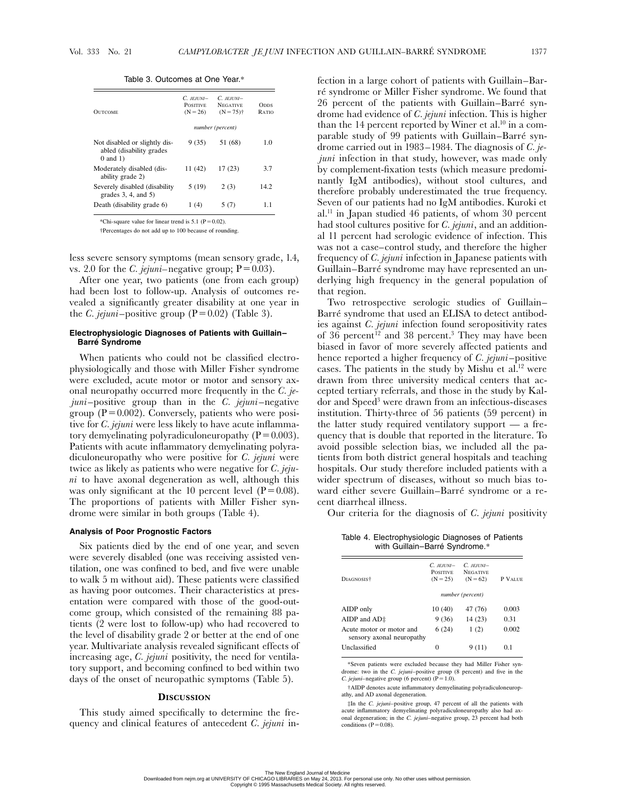| <b>OUTCOME</b>                                                             | $C.$ JEHINI-<br><b>POSITIVE</b><br>$(N = 26)$ | $C.$ JEHINI-<br><b>NEGATIVE</b><br>$(N = 75)$ <sup>+</sup> | <b>O</b> pps<br>RATIO |
|----------------------------------------------------------------------------|-----------------------------------------------|------------------------------------------------------------|-----------------------|
|                                                                            | number (percent)                              |                                                            |                       |
| Not disabled or slightly dis-<br>abled (disability grades<br>$0$ and $1$ ) | 9 (35)                                        | 51 (68)                                                    | 1.0                   |
| Moderately disabled (dis-<br>ability grade 2)                              | 11 (42)                                       | 17(23)                                                     | 3.7                   |
| Severely disabled (disability<br>grades $3, 4$ , and $5$ )                 | 5(19)                                         | 2(3)                                                       | 14.2                  |
| Death (disability grade 6)                                                 | 1 (4)                                         | 5 (7)                                                      | 11                    |

Table 3. Outcomes at One Year.\*

\*Chi-square value for linear trend is  $5.1$  (P = 0.02)

†Percentages do not add up to 100 because of rounding.

less severe sensory symptoms (mean sensory grade, 1.4, vs. 2.0 for the *C. jejuni*–negative group;  $P=0.03$ ).

After one year, two patients (one from each group) had been lost to follow-up. Analysis of outcomes revealed a significantly greater disability at one year in the *C. jejuni*–positive group  $(P=0.02)$  (Table 3).

### **Electrophysiologic Diagnoses of Patients with Guillain– Barré Syndrome**

When patients who could not be classified electrophysiologically and those with Miller Fisher syndrome were excluded, acute motor or motor and sensory axonal neuropathy occurred more frequently in the *C. jejuni*–positive group than in the *C. jejuni*–negative group ( $P=0.002$ ). Conversely, patients who were positive for *C. jejuni* were less likely to have acute inflammatory demyelinating polyradiculoneuropathy ( $P=0.003$ ). Patients with acute inflammatory demyelinating polyradiculoneuropathy who were positive for *C. jejuni* were twice as likely as patients who were negative for *C. jejuni* to have axonal degeneration as well, although this was only significant at the 10 percent level  $(P=0.08)$ . The proportions of patients with Miller Fisher syndrome were similar in both groups (Table 4).

### **Analysis of Poor Prognostic Factors**

Six patients died by the end of one year, and seven were severely disabled (one was receiving assisted ventilation, one was confined to bed, and five were unable to walk 5 m without aid). These patients were classified as having poor outcomes. Their characteristics at presentation were compared with those of the good-outcome group, which consisted of the remaining 88 patients (2 were lost to follow-up) who had recovered to the level of disability grade 2 or better at the end of one year. Multivariate analysis revealed significant effects of increasing age, *C. jejuni* positivity, the need for ventilatory support, and becoming confined to bed within two days of the onset of neuropathic symptoms (Table 5).

### **DISCUSSION**

This study aimed specifically to determine the frequency and clinical features of antecedent *C. jejuni* in-

fection in a large cohort of patients with Guillain–Barré syndrome or Miller Fisher syndrome. We found that 26 percent of the patients with Guillain–Barré syndrome had evidence of *C. jejuni* infection. This is higher than the 14 percent reported by Winer et al.<sup>10</sup> in a comparable study of 99 patients with Guillain–Barré syndrome carried out in 1983–1984. The diagnosis of *C. jejuni* infection in that study, however, was made only by complement-fixation tests (which measure predominantly IgM antibodies), without stool cultures, and therefore probably underestimated the true frequency. Seven of our patients had no IgM antibodies. Kuroki et al.11 in Japan studied 46 patients, of whom 30 percent had stool cultures positive for *C. jejuni*, and an additional 11 percent had serologic evidence of infection. This was not a case–control study, and therefore the higher frequency of *C. jejuni* infection in Japanese patients with Guillain–Barré syndrome may have represented an underlying high frequency in the general population of that region.

Two retrospective serologic studies of Guillain– Barré syndrome that used an ELISA to detect antibodies against *C. jejuni* infection found seropositivity rates of 36 percent<sup>12</sup> and 38 percent.<sup>3</sup> They may have been biased in favor of more severely affected patients and hence reported a higher frequency of *C. jejuni*–positive cases. The patients in the study by Mishu et al.<sup>12</sup> were drawn from three university medical centers that accepted tertiary referrals, and those in the study by Kaldor and Speed<sup>3</sup> were drawn from an infectious-diseases institution. Thirty-three of 56 patients (59 percent) in the latter study required ventilatory support — a frequency that is double that reported in the literature. To avoid possible selection bias, we included all the patients from both district general hospitals and teaching hospitals. Our study therefore included patients with a wider spectrum of diseases, without so much bias toward either severe Guillain–Barré syndrome or a recent diarrheal illness.

Our criteria for the diagnosis of *C. jejuni* positivity

Table 4. Electrophysiologic Diagnoses of Patients with Guillain–Barré Syndrome.\*

| DIAGNOSIS <sup>†</sup>                                | $C.$ JEHINI-<br><b>POSITIVE</b><br>$(N = 25)$ | $C.$ JEHINI-<br><b>NEGATIVE</b><br>$(N = 62)$ | P VALUE        |
|-------------------------------------------------------|-----------------------------------------------|-----------------------------------------------|----------------|
|                                                       | number (percent)                              |                                               |                |
| AIDP only                                             | 10(40)                                        | 47 (76)                                       | 0.003          |
| AIDP and $AD\ddagger$                                 | 9(36)                                         | 14 (23)                                       | 0.31           |
| Acute motor or motor and<br>sensory axonal neuropathy | 6(24)                                         | 1(2)                                          | 0.002          |
| Unclassified                                          | 0                                             | 9(11)                                         | 0 <sup>1</sup> |
|                                                       |                                               |                                               |                |

\*Seven patients were excluded because they had Miller Fisher syndrome: two in the *C. jejuni–*positive group (8 percent) and five in the *C. jejuni*–negative group (6 percent)  $(P=1.0)$ .

†AIDP denotes acute inflammatory demyelinating polyradiculoneuropathy, and AD axonal degeneration.

‡In the *C. jejuni–*positive group, 47 percent of all the patients with acute inflammatory demyelinating polyradiculoneuropathy also had ax-onal degeneration; in the *C. jejuni–*negative group, 23 percent had both conditions  $(P=0.08)$ .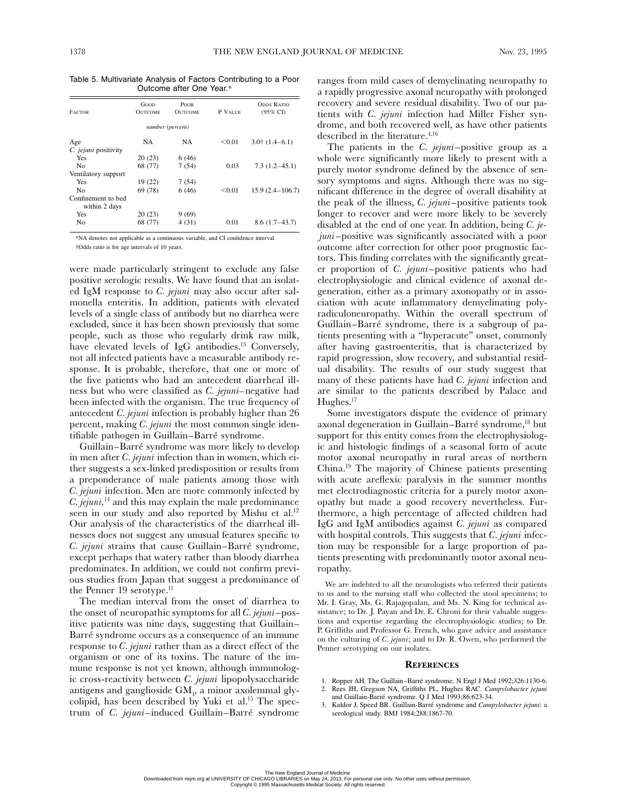Table 5. Multivariate Analysis of Factors Contributing to a Poor Outcome after One Year.\*

| <b>FACTOR</b>                       | Good<br><b>OUTCOME</b> | <b>POOR</b><br><b>OUTCOME</b> | P VALUE | <b>ODDS RATIO</b><br>$(95\% \text{ CI})$ |
|-------------------------------------|------------------------|-------------------------------|---------|------------------------------------------|
|                                     |                        | number (percent)              |         |                                          |
| Age                                 | <b>NA</b>              | <b>NA</b>                     | < 0.01  | $3.0$ † $(1.4-6.1)$                      |
| C. jejuni positivity                |                        |                               |         |                                          |
| Yes                                 | 20(23)                 | 6(46)                         |         |                                          |
| No                                  | 68 (77)                | 7(54)                         | 0.03    | $7.3(1.2-45.1)$                          |
| Ventilatory support                 |                        |                               |         |                                          |
| Yes                                 | 19(22)                 | 7(54)                         |         |                                          |
| No                                  | 69 (78)                | 6(46)                         | < 0.01  | $15.9(2.4 - 106.7)$                      |
| Confinement to bed<br>within 2 days |                        |                               |         |                                          |
| Yes                                 | 20(23)                 | 9(69)                         |         |                                          |
| No                                  | 68 (77)                | 4(31)                         | 0.01    | $8.6(1.7-43.7)$                          |

\*NA denotes not applicable as a continuous variable, and CI confidence interval. †Odds ratio is for age intervals of 10 years.

were made particularly stringent to exclude any false positive serologic results. We have found that an isolated IgM response to *C. jejuni* may also occur after salmonella enteritis. In addition, patients with elevated levels of a single class of antibody but no diarrhea were excluded, since it has been shown previously that some people, such as those who regularly drink raw milk, have elevated levels of IgG antibodies.<sup>13</sup> Conversely, not all infected patients have a measurable antibody response. It is probable, therefore, that one or more of the five patients who had an antecedent diarrheal illness but who were classified as *C. jejuni–*negative had been infected with the organism. The true frequency of antecedent *C. jejuni* infection is probably higher than 26 percent, making *C. jejuni* the most common single identifiable pathogen in Guillain–Barré syndrome.

Guillain–Barré syndrome was more likely to develop in men after *C. jejuni* infection than in women, which either suggests a sex-linked predisposition or results from a preponderance of male patients among those with *C. jejuni* infection. Men are more commonly infected by *C. jejuni,*14 and this may explain the male predominance seen in our study and also reported by Mishu et al.<sup>12</sup> Our analysis of the characteristics of the diarrheal illnesses does not suggest any unusual features specific to *C. jejuni* strains that cause Guillain–Barré syndrome, except perhaps that watery rather than bloody diarrhea predominates. In addition, we could not confirm previous studies from Japan that suggest a predominance of the Penner 19 serotype.<sup>11</sup>

The median interval from the onset of diarrhea to the onset of neuropathic symptoms for all *C. jejuni*–positive patients was nine days, suggesting that Guillain– Barré syndrome occurs as a consequence of an immune response to *C. jejuni* rather than as a direct effect of the organism or one of its toxins. The nature of the immune response is not yet known, although immunologic cross-reactivity between *C. jejuni* lipopolysaccharide antigens and ganglioside GM1 , a minor axolemmal glycolipid, has been described by Yuki et al.<sup>15</sup> The spectrum of *C. jejuni*–induced Guillain–Barré syndrome

ranges from mild cases of demyelinating neuropathy to a rapidly progressive axonal neuropathy with prolonged recovery and severe residual disability. Two of our patients with *C. jejuni* infection had Miller Fisher syndrome, and both recovered well, as have other patients described in the literature.<sup>4,16</sup>

The patients in the *C. jejuni*–positive group as a whole were significantly more likely to present with a purely motor syndrome defined by the absence of sensory symptoms and signs. Although there was no significant difference in the degree of overall disability at the peak of the illness, *C. jejuni*–positive patients took longer to recover and were more likely to be severely disabled at the end of one year. In addition, being *C. jejuni*–positive was significantly associated with a poor outcome after correction for other poor prognostic factors. This finding correlates with the significantly greater proportion of *C. jejuni*–positive patients who had electrophysiologic and clinical evidence of axonal degeneration, either as a primary axonopathy or in association with acute inflammatory demyelinating polyradiculoneuropathy. Within the overall spectrum of Guillain–Barré syndrome, there is a subgroup of patients presenting with a "hyperacute" onset, commonly after having gastroenteritis, that is characterized by rapid progression, slow recovery, and substantial residual disability. The results of our study suggest that many of these patients have had *C. jejuni* infection and are similar to the patients described by Palace and Hughes.<sup>17</sup>

Some investigators dispute the evidence of primary axonal degeneration in Guillain–Barré syndrome,<sup>18</sup> but support for this entity comes from the electrophysiologic and histologic findings of a seasonal form of acute motor axonal neuropathy in rural areas of northern China.19 The majority of Chinese patients presenting with acute areflexic paralysis in the summer months met electrodiagnostic criteria for a purely motor axonopathy but made a good recovery nevertheless. Furthermore, a high percentage of affected children had IgG and IgM antibodies against *C. jejuni* as compared with hospital controls. This suggests that *C. jejuni* infection may be responsible for a large proportion of patients presenting with predominantly motor axonal neuropathy.

We are indebted to all the neurologists who referred their patients to us and to the nursing staff who collected the stool specimens; to Mr. I. Gray, Ms. G. Rajagopalan, and Ms. N. King for technical assistance; to Dr. J. Payan and Dr. E. Chroni for their valuable suggestions and expertise regarding the electrophysiologic studies; to Dr. P. Griffiths and Professor G. French, who gave advice and assistance on the culturing of *C. jejuni*; and to Dr. R. Owen, who performed the Penner serotyping on our isolates.

### **REFERENCES**

- 1. Ropper AH. The Guillain–Barré syndrome. N Engl J Med 1992;326:1130-6.
- 2. Rees JH, Gregson NA, Griffiths PL, Hughes RAC. *Campylobacter jejuni* and Guillain-Barré syndrome. Q J Med 1993;86:623-34.
- 3. Kaldor J, Speed BR. Guillain-Barré syndrome and *Campylobacter jejuni*: a serological study. BMJ 1984;288:1867-70.